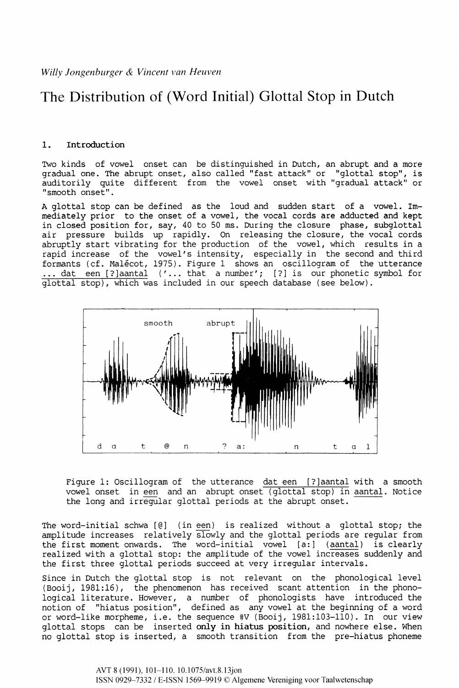# The Distribution of (Word Initial) Glottal Stop in Dutch

# **1. Introduction**

Two kinds of vowel onset can be distinguished in Dutch, an abrupt and a more gradual one. The abrupt onset, also called "fast attack" or "glottal stop", is auditorily quite different from the vowel onset with "gradual attack" or "smooth onset".

A glottal stop can be defined as the loud and sudden start of a vowel. Immediately prior to the onset of a vowel, the vocal cords are adducted and kept in closed position for, say, 40 to 50 ms. During the closure phase, subglottal air pressure builds up rapidly. On releasing the closure, the vocal cords abruptly start vibrating for the production of the vowel, which results in a rapid increase of the vowel's intensity, especially in the second and third formants (cf. Malécot, 1975). Figure 1 shows an oscillogram of the utterance ... dat een [?]aantal ('... that a number'; [?] is our phonetic symbol for glottal stop), which was included in our speech database (see below).



Figure 1: Oscillogram of the utterance dat een [?]aantal with a smooth vowel onset in een and an abrupt onset (glottal stop) in aantal. Notice the long and irregular glottal periods at the abrupt onset.

The word-initial schwa [@] (in een) is realized without a glottal stop; the amplitude increases relatively slowly and the glottal periods are regular from the first moment onwards. The word-initial vowel [a:] (aantal) is clearly realized with a glottal stop: the amplitude of the vowel increases suddenly and the first three glottal periods succeed at very irregular intervals.

Since in Dutch the glottal stop is not relevant on the phonological level (Booij, 1981:16), the phenomenon has received scant attention in the phonological literature. However, a number of phonologists have introduced the notion of "hiatus position", defined as any vowel at the beginning of a word or word-like morpheme, i.e. the sequence #V (Booij, 1981:103-110). In our view glottal stops can be inserted **only in hiatus position,** and nowhere else. When no glottal stop is inserted, a smooth transition from the pre-hiatus phoneme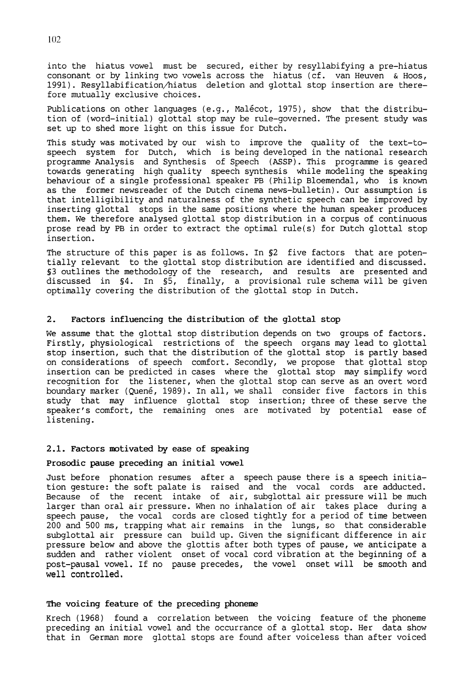into the hiatus vowel must be secured, either by resyllabifying a pre-hiatus consonant or by linking two vowels across the hiatus (cf. van Heuven & Hoos, 1991). Resyllabification/hiatus deletion and glottal stop insertion are therefore mutually exclusive choices.

Publications on other languages (e.g., Malécot, 1975), show that the distribution of (word-initial) glottal stop may be rule-governed. The present study was set up to shed more light on this issue for Dutch.

This study was motivated by our wish to improve the quality of the text-tospeech system for Dutch, which is being developed in the national research programme Analysis and Synthesis of Speech (ASSP). This programme is geared towards generating high quality speech synthesis while modeling the speaking behaviour of a single professional speaker PB (Philip Bloemendal, who is known as the former newsreader of the Dutch cinema news-bulletin). Our assumption is that intelligibility and naturalness of the synthetic speech can be improved by inserting glottal stops in the same positions where the human speaker produces them. We therefore analysed glottal stop distribution in a corpus of continuous prose read by PB in order to extract the optimal rule(s) for Dutch glottal stop insertion.

The structure of this paper is as follows. In §2 five factors that are potentially relevant to the glottal stop distribution are identified and discussed. §3 outlines the methodology of the research, and results are presented and discussed in §4. In §5, finally, a provisional rule schema will be given optimally covering the distribution of the glottal stop in Dutch.

# **2. Factors influencing the distribution of the glottal stop**

We assume that the glottal stop distribution depends on two groups of factors. Firstly, physiological restrictions of the speech organs may lead to glottal stop insertion, such that the distribution of the glottal stop is partly based on considerations of speech comfort. Secondly, we propose that glottal stop insertion can be predicted in cases where the glottal stop may simplify word recognition for the listener, when the glottal stop can serve as an overt word boundary marker (Quené, 1989). In all, we shall consider five factors in this study that may influence glottal stop insertion; three of these serve the speaker's comfort, the remaining ones are motivated by potential ease of listening.

## **2.1. Factors motivated by ease of speaking**

## **Prosodic pause preceding an initial vowel**

Just before phonation resumes after a speech pause there is a speech initiation gesture: the soft palate is raised and the vocal cords are adducted. Because of the recent intake of air, subglottal air pressure will be much larger than oral air pressure. When no inhalation of air takes place during a speech pause, the vocal cords are closed tightly for a period of time between 200 and 500 ms, trapping what air remains in the lungs, so that considerable subglottal air pressure can build up. Given the significant difference in air pressure below and above the glottis after both types of pause, we anticipate a sudden and rather violent onset of vocal cord vibration at the beginning of a post-pausal vowel. If no pause precedes, the vowel onset will be smooth and **well controlled.** 

# **The voicing feature of the preceding phoneme**

Krech (1968) found a correlation between the voicing feature of the phoneme preceding an initial vowel and the occurrance of a glottal stop. Her data show that in German more glottal stops are found after voiceless than after voiced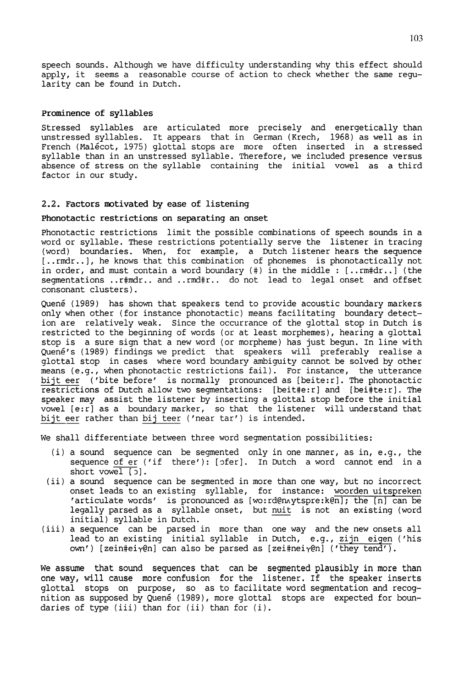speech sounds. Although we have difficulty understanding why this effect should apply, it seems a reasonable course of action to check whether the same regularity can be found in Dutch.

# Prominence of syllables

Stressed syllables are articulated more precisely and energetically than unstressed syllables. It appears that in German (Krech, 1968) as well as in French (Malécot, 1975) glottal stops are more often inserted in a stressed syllable than in an unstressed syllable. Therefore, we included presence versus absence of stress on the syllable containing the initial vowel as a third factor in our study.

# 2.2. Factors motivated by ease of listening

# Phonotactic restrictions on separating an onset

Phonotactic restrictions limit the possible combinations of speech sounds in a word or syllable. These restrictions potentially serve the listener in tracing (word) boundaries. When, for example, a Dutch listener hears the sequence [..rmdr..], he knows that this combination of phonemes is phonotactically not in order, and must contain a word boundary (#) in the middle : [..rm#dr..] (the segmentations ..r#mdr.. and ..rmd#r.. do not lead to legal onset and offset consonant clusters).

Quené (1989) has shown that speakers tend to provide acoustic boundary markers only when other (for instance phonotactic) means facilitating boundary detection are relatively weak. Since the occurrance of the glottal stop in Dutch is restricted to the beginning of words (or at least morphemes), hearing a glottal stop is a sure sign that a new word (or morpheme) has just begun. In line with Quené's (1989) findings we predict that speakers will preferably realise a glottal stop in cases where word boundary ambiguity cannot be solved by other means (e.g., when phonotactic restrictions fail). For instance, the utterance bijt eer ('bite before' is normally pronounced as [beite:r]. The phonotactic restrictions of Dutch allow two segmentations: [beit#e:r] and [bei#te:r]. The speaker may assist the listener by inserting a glottal stop before the initial vowel [e:r] as a boundary marker, so that the listener will understand that bijt eer rather than bij teer ('near tar') is intended.

We shall differentiate between three word segmentation possibilities:

- (i) a sound sequence can be segmented only in one manner, as in, e.g., the sequence of er ('if there'): [ofer]. In Dutch a word cannot end in a short vowel  $[$   $]$ .
- (ii) a sound sequence can be segmented in more than one way, but no incorrect onset leads to an existing syllable, for instance: woorden uitspreken articulate words' is pronounced as [wo:rd@nAytspre:k@n]; the [n] can be legally parsed as a syllable onset, but nuit is not an existing (word initial) syllable in Dutch.
- (iii) a sequence can be parsed in more than one way and the new onsets all lead to an existing initial syllable in Dutch, e.g., zijn eigen ('his own') [zein#ei $\gamma$ @n] can also be parsed as [zei#nei $\gamma$ @n] ('they tend').

We assume that sound sequences that can be segmented plausibly in more than one way, will cause more confusion for the listener. If the speaker inserts glottal stops on purpose, so as to facilitate word segmentation and recognition as supposed by Quené (1989), more glottal stops are expected for boundaries of type (iii) than for (ii) than for (i).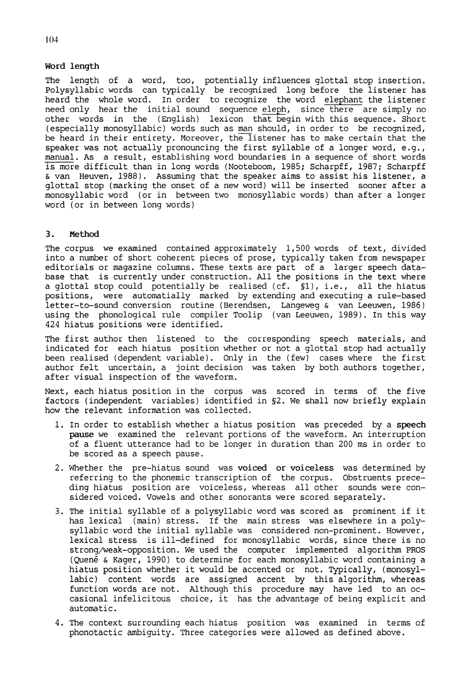## **Word length**

The length of a word, too, potentially influences glottal stop insertion. Polysyllabic words can typically be recognized long before the listener has heard the whole word. In order to recognize the word elephant the listener need only hear the initial sound sequence eleph, since there are simply no other words in the (English) lexicon that begin with this sequence. Short (especially monosyllabic) words such as man should, in order to be recognized, be heard in their entirety. Moreover, the listener has to make certain that the speaker was not actually pronouncing the first syllable of a longer word, e.g., manual. As a result, establishing word boundaries in a sequence of short words is more difficult than in long words (Nooteboom, 1985; Scharpff, 1987; Scharpff & van Heuven, 1988). Assuming that the speaker aims to assist his listener, a glottal stop (marking the onset of a new word) will be inserted sooner after a monosyllabic word (or in between two monosyllabic words) than after a longer word (or in between long words)

# **3. Method**

The corpus we examined contained approximately 1,500 words of text, divided into a number of short coherent pieces of prose, typically taken from newspaper editorials or magazine columns. These texts are part of a larger speech database that is currently under construction. All the positions in the text where a glottal stop could potentially be realised (cf.  $\S1$ ), i.e., all the hiatus positions, were automatially marked by extending and executing a rule-based letter-to-sound conversion routine (Berendsen, Langeweg & van Leeuwen, 1986) using the phonological rule compiler Toolip (van Leeuwen, 1989). In this way 424 hiatus positions were identified.

The first author then listened to the corresponding speech materials, and indicated for each hiatus position whether or not a glottal stop had actually been realised (dependent variable). Only in the (few) cases where the first author felt uncertain, a joint decision was taken by both authors together, after visual inspection of the waveform.

Next, each hiatus position in the corpus was scored in terms of the five factors (independent variables) identified in §2. We shall now briefly explain how the relevant information was collected.

- 1. In order to establish whether a hiatus position was preceded by a **speech pause** we examined the relevant portions of the waveform. An interruption of a fluent utterance had to be longer in duration than 200 ms in order to be scored as a speech pause.
- 2. Whether the pre-hiatus sound was **voiced or voiceless** was determined by referring to the phonemic transcription of the corpus. Obstruents preceding hiatus position are voiceless, whereas all other sounds were considered voiced. Vowels and other sonorants were scored separately.
- 3. The initial syllable of a polysyllabic word was scored as prominent if it has lexical (main) stress. If the main stress was elsewhere in a polysyllabic word the initial syllable was considered non-prominent. However, lexical stress is ill-defined for monosyllabic words, since there is no strong/weak-opposition. We used the computer implemented algorithm PROS (Quené & Kager, 1990) to determine for each monosyllabic word containing a hiatus position whether it would be accented or not. Typically, (monosyllabic) content words are assigned accent by this algorithm, whereas function words are not. Although this procedure may have led to an occasional infelicitous choice, it has the advantage of being explicit and automatic.
- 4. The context surrounding each hiatus position was examined in terms of phonotactic ambiguity. Three categories were allowed as defined above.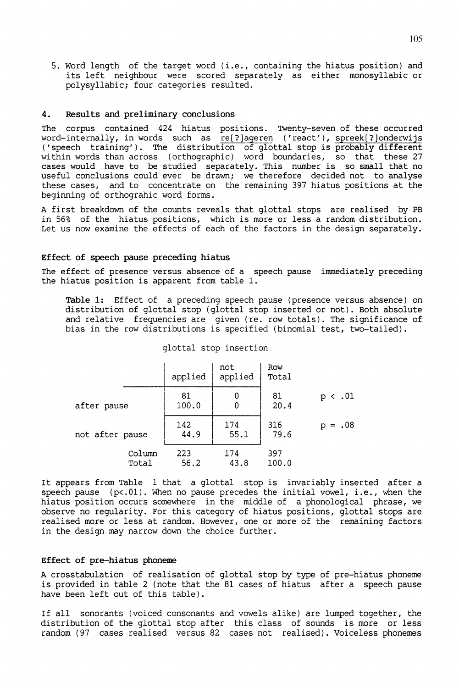5. Word length of the target word (i.e., containing the hiatus position) and its left neighbour were scored separately as either monosyllabic or polysyllabic; four categories resulted.

#### **4. Results and preliminary conclusions**

The corpus contained 424 hiatus positions. Twenty-seven of these occurred word-internally, in words such as re[?]ageren ('react'), spreek[?]onderwijs ('speech training'). The distribution of glottal stop is probably different within words than across (orthographic) word boundaries, so that these 27 cases would have to be studied separately. This number is so small that no useful conclusions could ever be drawn; we therefore decided not to analyse these cases, and to concentrate on the remaining 397 hiatus positions at the beginning of orthograhic word forms.

A first breakdown of the counts reveals that glottal stops are realised by PB in 56% of the hiatus positions, which is more or less a random distribution. Let us now examine the effects of each of the factors in the design separately.

## **Effect of speech pause preceding hiatus**

The effect of presence versus absence of a speech pause immediately preceding the hiatus position is apparent from table 1.

**Table 1:** Effect of a preceding speech pause (presence versus absence) on distribution of glottal stop (glottal stop inserted or not). Both absolute and relative frequencies are given (re. row totals). The significance of bias in the row distributions is specified (binomial test, two-tailed).

|                 |                 | applied     | not<br>applied | Row<br>Total |                 |
|-----------------|-----------------|-------------|----------------|--------------|-----------------|
| after pause     |                 | 81<br>100.0 | 0<br>0         | 81<br>20.4   | .01<br>р        |
| not after pause |                 | 142<br>44.9 | 174<br>55.1    | 316<br>79.6  | .08<br>р<br>$=$ |
|                 | Column<br>Total | 223<br>56.2 | 174<br>43.8    | 397<br>100.0 |                 |

# glottal stop insertion

It appears from Table 1 that a glottal stop is invariably inserted after a speech pause  $(p<.01)$ . When no pause precedes the initial vowel, i.e., when the hiatus position occurs somewhere in the middle of a phonological phrase, we observe no regularity. For this category of hiatus positions, glottal stops are realised more or less at random. However, one or more of the remaining factors in the design may narrow down the choice further.

# **Effect of pre-hiatus phoneme**

A crosstabulation of realisation of glottal stop by type of pre-hiatus phoneme is provided in table 2 (note that the 81 cases of hiatus after a speech pause have been left out of this table).

If all sonorants (voiced consonants and vowels alike) are lumped together, the distribution of the glottal stop after this class of sounds is more or less random (97 cases realised versus 82 cases not realised). Voiceless phonemes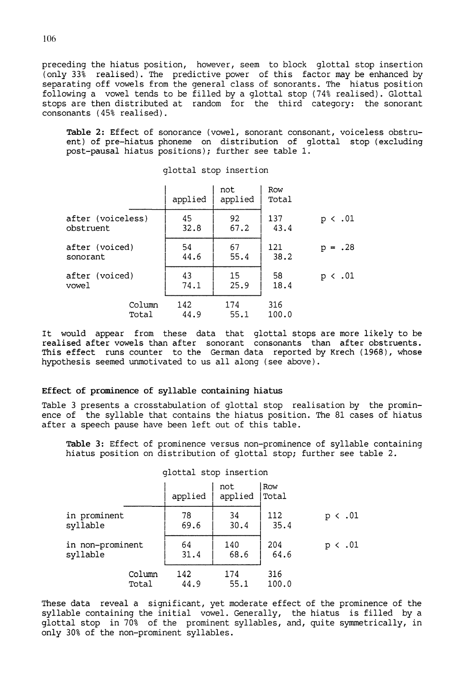preceding the hiatus position, however, seem to block glottal stop insertion (only 33% realised). The predictive power of this factor may be enhanced by separating off vowels from the general class of sonorants. The hiatus position following a vowel tends to be filled by a glottal stop (74% realised). Glottal stops are then distributed at random for the third category: the sonorant consonants (45% realised).

**Table 2:** Effect of sonorance (vowel, sonorant consonant, voiceless obstruent) of pre-hiatus phoneme on distribution of glottal stop (excluding post-pausal hiatus positions); further see table 1.

|                   | applied | not<br>applied | Row<br>Total |              |
|-------------------|---------|----------------|--------------|--------------|
| after (voiceless) | 45      | 92             | 137          | $p \lt .01$  |
| obstruent         | 32.8    | 67.2           | 43.4         |              |
| after (voiced)    | 54      | 67             | 121          | $p = .28$    |
| sonorant          | 44.6    | 55.4           | 38.2         |              |
| after (voiced)    | 43      | 15             | 58           | $p \lt 0.01$ |
| vowel             | 74.1    | 25.9           | 18.4         |              |
| Column            | 142     | 174            | 316          |              |
| Total             | 44.9    | 55.1           | 100.0        |              |

glottal stop insertion

It would appear from these data that glottal stops are more likely to be realised after vowels than after sonorant consonants than after obstruents. This effect runs counter to the German data reported by Krech (1968), whose hypothesis seemed unmotivated to us all along (see above).

# **Effect of prominence of syllable containing hiatus**

Table 3 presents a crosstabulation of glottal stop realisation by the prominence of the syllable that contains the hiatus position. The 81 cases of hiatus after a speech pause have been left out of this table.

**Table 3:** Effect of prominence versus non-prominence of syllable containing hiatus position on distribution of glottal stop; further see table 2.

|                              |                 | applied     | not<br>applied | Row<br>Total |                                          |
|------------------------------|-----------------|-------------|----------------|--------------|------------------------------------------|
| in prominent<br>syllable     |                 | 78<br>69.6  | 34<br>30.4     | 112<br>35.4  | .01<br>$\left\langle \right\rangle$<br>D |
| in non-prominent<br>syllable |                 | 64<br>31.4  | 140<br>68.6    | 204<br>64.6  | .01<br>р                                 |
|                              | Column<br>Total | 142<br>44.9 | 174<br>55.1    | 316<br>100.0 |                                          |

glottal stop insertion

These data reveal a significant, yet moderate effect of the prominence of the syllable containing the initial vowel. Generally, the hiatus is filled by a glottal stop in 70% of the prominent syllables, and, quite symmetrically, in only 30% of the non-prominent syllables.

106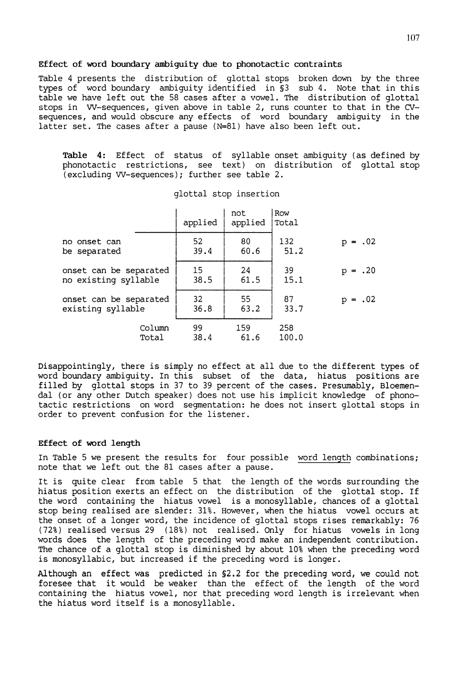#### **Effect of word boundary ambiguity due to phonotactic contraints**

Table 4 presents the distribution of glottal stops broken down by the three types of word boundary ambiguity identified in §3 sub 4. Note that in this table we have left out the 58 cases after a vowel. The distribution of glottal stops in W-sequences, given above in table 2, runs counter to that in the CVsequences, and would obscure any effects of word boundary ambiguity in the latter set. The cases after a pause (N=81) have also been left out.

**Table 4:** Effect of status of syllable onset ambiguity (as defined by phonotactic restrictions, see text) on distribution of glottal stop (excluding W-sequences); further see table 2.

|                        | applied | not<br>applied | Row<br>Total |           |
|------------------------|---------|----------------|--------------|-----------|
| no onset can           | 52      | 80             | 132          | $p = .02$ |
| be separated           | 39.4    | 60.6           | 51.2         |           |
| onset can be separated | 15      | 24             | 39           | $p = .20$ |
| no existing syllable   | 38.5    | 61.5           | 15.1         |           |
| onset can be separated | 32      | 55             | 87           | $p = .02$ |
| existing syllable      | 36.8    | 63.2           | 33.7         |           |
| Column                 | 99      | 159            | 258          |           |
| Total                  | 38.4    | 61.6           | 100.0        |           |

glottal stop insertion

Disappointingly, there is simply no effect at all due to the different types of word boundary ambiguity. In this subset of the data, hiatus positions are filled by glottal stops in 37 to 39 percent of the cases. Presumably, Bloemendal (or any other Dutch speaker) does not use his implicit knowledge of phonotactic restrictions on word segmentation: he does not insert glottal stops in order to prevent confusion for the listener.

# **Effect of word length**

In Table 5 we present the results for four possible word length combinations; note that we left out the 81 cases after a pause.

It is quite clear from table 5 that the length of the words surrounding the hiatus position exerts an effect on the distribution of the glottal stop. If the word containing the hiatus vowel is a monosyllable, chances of a glottal stop being realised are slender: 31%. However, when the hiatus vowel occurs at the onset of a longer word, the incidence of glottal stops rises remarkably: 76 (72%) realised versus 29 (18%) not realised. Only for hiatus vowels in long words does the length of the preceding word make an independent contribution. The chance of a glottal stop is diminished by about 10% when the preceding word is monosyllabic, but increased if the preceding word is longer.

Although an effect was predicted in §2.2 for the preceding word, we could not foresee that it would be weaker than the effect of the length of the word containing the hiatus vowel, nor that preceding word length is irrelevant when the hiatus word itself is a monosyllable.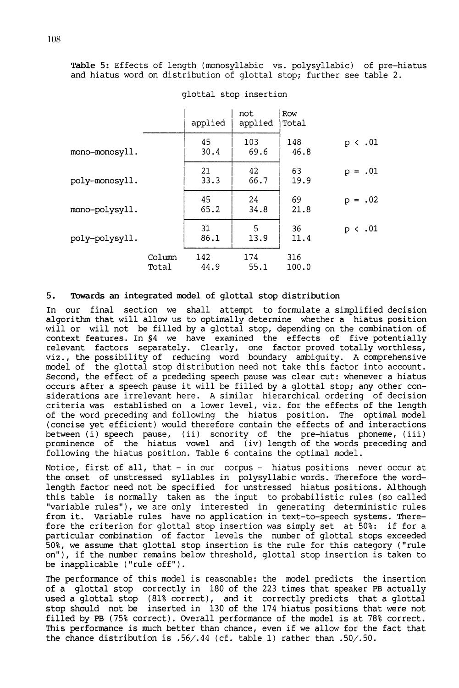**Table 5:** Effects of length (monosyllabic vs. polysyllabic) of pre-hiatus and hiatus word on distribution of glottal stop; further see table 2.

|                |                 | applied     | not<br>applied | Row<br>Total |             |
|----------------|-----------------|-------------|----------------|--------------|-------------|
| mono-monosyll. |                 | 45<br>30.4  | 103<br>69.6    | 148<br>46.8  | $p \lt .01$ |
| poly-monosyll. |                 | 21<br>33.3  | 42<br>66.7     | 63<br>19.9   | $p = .01$   |
| mono-polysyll. |                 | 45<br>65.2  | 24<br>34.8     | 69<br>21.8   | $p = .02$   |
| poly-polysyll. |                 | 31<br>86.1  | 5<br>13.9      | 36<br>11.4   | $p \lt .01$ |
|                | Column<br>Total | 142<br>44.9 | 174<br>55.1    | 316<br>100.0 |             |

## glottal stop insertion

## **5. Towards an integrated model** of **glottal stop distribution**

In our final section we shall attempt to formulate a simplified decision algorithm that will allow us to optimally determine whether a hiatus position will or will not be filled by a glottal stop, depending on the combination of context features. In §4 we have examined the effects of five potentially relevant factors separately. Clearly, one factor proved totally worthless, viz., the possibility of reducing word boundary ambiguity. A comprehensive model of the glottal stop distribution need not take this factor into account. Second, the effect of a prededing speech pause was clear cut: whenever a hiatus occurs after a speech pause it will be filled by a glottal stop; any other considerations are irrelevant here. A similar hierarchical ordering of decision criteria was established on a lower level, viz. for the effects of the length of the word preceding and following the hiatus position. The optimal model (concise yet efficient) would therefore contain the effects of and interactions between (i) speech pause, (ii) sonority of the pre-hiatus phoneme, (iii) prominence of the hiatus vowel and (iv) length of the words preceding and following the hiatus position. Table 6 contains the optimal model.

Notice, first of all, that - in our corpus - hiatus positions never occur at the onset of unstressed syllables in polysyllabic words. Therefore the wordlength factor need not be specified for unstressed hiatus positions. Although this table is normally taken as the input to probabilistic rules (so called "variable rules"), we are only interested in generating deterministic rules from it. Variable rules have no application in text-to-speech systems. Therefore the criterion for glottal stop insertion was simply set at 50%: if for a particular combination of factor levels the number of glottal stops exceeded 50%, we assume that glottal stop insertion is the rule for this category ("rule on"), if the number remains below threshold, glottal stop insertion is taken to be inapplicable ("rule off").

The performance of this model is reasonable: the model predicts the insertion of a glottal stop correctly in 180 of the 223 times that speaker PB actually used **a** glottal stop (81% correct), and it correctly predicts that a glottal stop should not be inserted in 130 of the 174 hiatus positions that were not filled by PB (75% correct). Overall performance of the model is at 78% correct. This performance is much better than chance, even if we allow for the fact that the chance distribution is .56/.44 (cf. table 1) rather than .50/.50.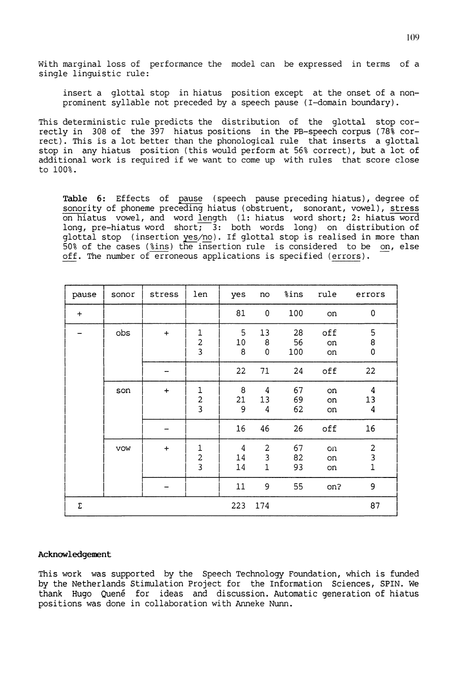With marginal loss of performance the model can be expressed in terms of a single linguistic rule:

insert a glottal stop in hiatus position except at the onset of a nonprominent syllable not preceded by a speech pause (I-domain boundary).

This deterministic rule predicts the distribution of the glottal stop correctly in 308 of the 397 hiatus positions in the PB-speech corpus (78% correct). This is a lot better than the phonological rule that inserts a glottal stop in any hiatus position (this would perform at 56% correct), but a lot of additional work is required if we want to come up with rules that score close to 100%.

**Table** 6: Effects of pause (speech pause preceding hiatus), degree of sonority of phoneme preceding hiatus (obstruent, sonorant, vowel), stress on hiatus vowel, and word length (1: hiatus word short; 2: hiatus word long, pre-hiatus word short;  $3:$  both words long) on distribution of glottal stop (insertion yes/no). If glottal stop is realised in more than 50% of the cases (%ins) the insertion rule is considered to be on, else off. The number of erroneous applications is specified (errors).

| pause     | sonor      | stress    | len                                        | yes           | no                                  | %ins            | rule            | errors                                     |
|-----------|------------|-----------|--------------------------------------------|---------------|-------------------------------------|-----------------|-----------------|--------------------------------------------|
| $\ddot{}$ |            |           |                                            | 81            | 0                                   | 100             | on              | 0                                          |
|           | obs        | $\ddot{}$ | $\mathbf{1}$<br>$\frac{2}{3}$              | 5<br>10<br>8  | 13<br>8<br>0                        | 28<br>56<br>100 | off<br>on<br>on | 5<br>8<br>$\mathbf 0$                      |
|           |            |           |                                            | 22            | 71                                  | 24              | off             | 22                                         |
|           | son        | $\ddot{}$ | $\mathbf{1}$<br>$\frac{2}{3}$              | 8<br>21<br>9  | 4<br>13<br>4                        | 67<br>69<br>62  | on.<br>on<br>on | 4<br>13<br>4                               |
|           |            |           |                                            | 16            | 46                                  | 26              | off             | 16                                         |
|           | <b>VOW</b> | $\ddot{}$ | $\begin{array}{c} 1 \\ 2 \\ 3 \end{array}$ | 4<br>14<br>14 | $\overline{2}$<br>3<br>$\mathbf{1}$ | 67<br>82<br>93  | on<br>on<br>on  | $\begin{array}{c} 2 \\ 3 \\ 1 \end{array}$ |
|           |            |           |                                            | $11\,$        | 9                                   | 55              | on?             | 9                                          |
| Σ         |            |           |                                            | 223           | 174                                 |                 |                 | 87                                         |

# **Acknowledgement**

This work was supported by the Speech Technology Foundation, which is funded by the Netherlands Stimulation Project for the Information Sciences, SPIN. We thank Hugo Quené for ideas and discussion. Automatic generation of hiatus positions was done in collaboration with Anneke Nunn.